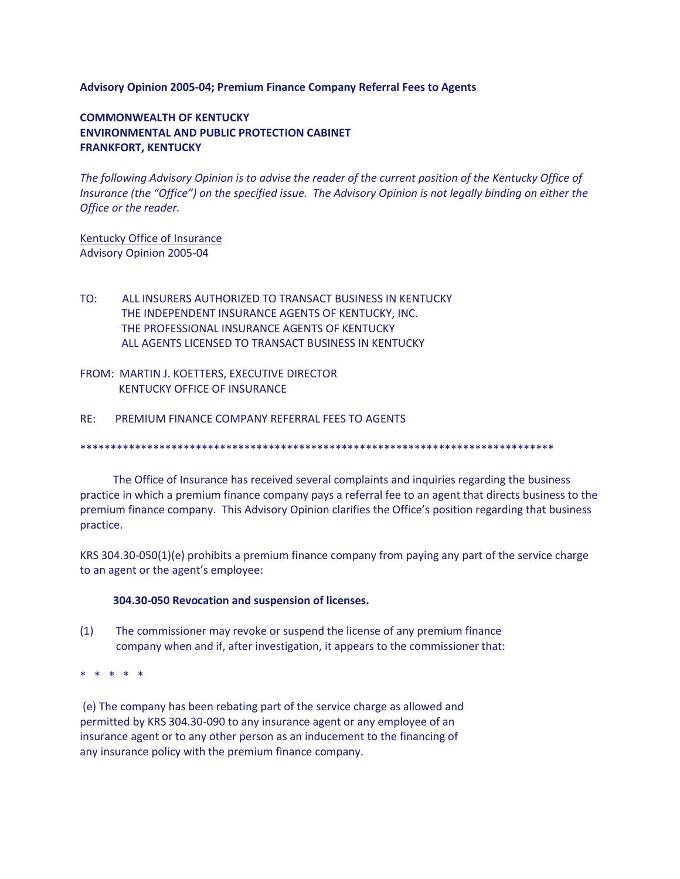### **Advisory Opinion 2005-04; Premium Finance Company Referral Fees to Agents**

# **COMMONWEALTH OF KENTUCKY ENVIRONMENTAL AND PUBLIC PROTECTION CABINET FRANKFORT, KENTUCKY**

*The following Advisory Opinion is to advise the reader of the current position of the Kentucky Office of Insurance (the "Office") on the specified issue. The Advisory Opinion is not legally binding on either the Office or the reader.*

Kentucky Office of Insurance Advisory Opinion 2005-04

- TO: ALL INSURERS AUTHORIZED TO TRANSACT BUSINESS IN KENTUCKY THE INDEPENDENT INSURANCE AGENTS OF KENTUCKY, INC. THE PROFESSIONAL INSURANCE AGENTS OF KENTUCKY ALL AGENTS LICENSED TO TRANSACT BUSINESS IN KENTUCKY
- FROM: MARTIN J. KOETTERS, EXECUTIVE DIRECTOR KENTUCKY OFFICE OF INSURANCE
- RE: PREMIUM FINANCE COMPANY REFERRAL FEES TO AGENTS

\*\*\*\*\*\*\*\*\*\*\*\*\*\*\*\*\*\*\*\*\*\*\*\*\*\*\*\*\*\*\*\*\*\*\*\*\*\*\*\*\*\*\*\*\*\*\*\*\*\*\*\*\*\*\*\*\*\*\*\*\*\*\*\*\*\*\*\*\*\*\*\*\*\*\*\*\*\*

 The Office of Insurance has received several complaints and inquiries regarding the business practice in which a premium finance company pays a referral fee to an agent that directs business to the premium finance company. This Advisory Opinion clarifies the Office's position regarding that business practice.

KRS 304.30-050(1)(e) prohibits a premium finance company from paying any part of the service charge to an agent or the agent's employee:

#### **304.30-050 Revocation and suspension of licenses.**

(1) The commissioner may revoke or suspend the license of any premium finance company when and if, after investigation, it appears to the commissioner that:

\* \* \* \* \*

(e) The company has been rebating part of the service charge as allowed and permitted by KRS 304.30-090 to any insurance agent or any employee of an insurance agent or to any other person as an inducement to the financing of any insurance policy with the premium finance company.